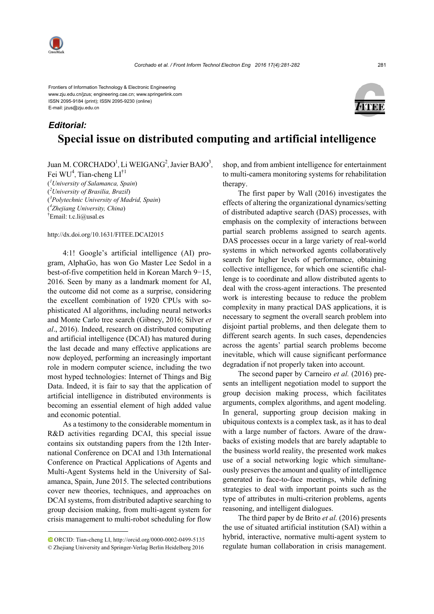

*Editorial:*

Frontiers of Information Technology & Electronic Engineering www.zju.edu.cn/jzus; engineering.cae.cn; www.springerlink.com ISSN 2095-9184 (print); ISSN 2095-9230 (online) E-mail: jzus@zju.edu.cn



## **Special issue on distributed computing and artificial intelligence**

Juan M. CORCHADO<sup>1</sup>, Li WEIGANG<sup>2</sup>, Javier BAJO<sup>3</sup>, Fei WU<sup>4</sup>, Tian-cheng LI<sup>†1</sup> ( *1 University of Salamanca, Spain*) ( *2 University of Brasilia, Brazil*) ( *3 Polytechnic University of Madrid, Spain*) ( *4 Zhejiang University, China*)

† Email: t.c.li@usal.es

http://dx.doi.org/10.1631/FITEE.DCAI2015

4:1! Google's artificial intelligence (AI) program, AlphaGo, has won Go Master Lee Sedol in a best-of-five competition held in Korean March 9−15, 2016. Seen by many as a landmark moment for AI, the outcome did not come as a surprise, considering the excellent combination of 1920 CPUs with sophisticated AI algorithms, including neural networks and Monte Carlo tree search (Gibney, 2016; Silver *et al*., 2016). Indeed, research on distributed computing and artificial intelligence (DCAI) has matured during the last decade and many effective applications are now deployed, performing an increasingly important role in modern computer science, including the two most hyped technologies: Internet of Things and Big Data. Indeed, it is fair to say that the application of artificial intelligence in distributed environments is becoming an essential element of high added value and economic potential.

As a testimony to the considerable momentum in R&D activities regarding DCAI, this special issue contains six outstanding papers from the 12th International Conference on DCAI and 13th International Conference on Practical Applications of Agents and Multi-Agent Systems held in the University of Salamanca, Spain, June 2015. The selected contributions cover new theories, techniques, and approaches on DCAI systems, from distributed adaptive searching to group decision making, from multi-agent system for crisis management to multi-robot scheduling for flow shop, and from ambient intelligence for entertainment to multi-camera monitoring systems for rehabilitation therapy.

The first paper by Wall (2016) investigates the effects of altering the organizational dynamics/setting of distributed adaptive search (DAS) processes, with emphasis on the complexity of interactions between partial search problems assigned to search agents. DAS processes occur in a large variety of real-world systems in which networked agents collaboratively search for higher levels of performance, obtaining collective intelligence, for which one scientific challenge is to coordinate and allow distributed agents to deal with the cross-agent interactions. The presented work is interesting because to reduce the problem complexity in many practical DAS applications, it is necessary to segment the overall search problem into disjoint partial problems, and then delegate them to different search agents. In such cases, dependencies across the agents' partial search problems become inevitable, which will cause significant performance degradation if not properly taken into account.

The second paper by Carneiro *et al.* (2016) presents an intelligent negotiation model to support the group decision making process, which facilitates arguments, complex algorithms, and agent modeling. In general, supporting group decision making in ubiquitous contexts is a complex task, as it has to deal with a large number of factors. Aware of the drawbacks of existing models that are barely adaptable to the business world reality, the presented work makes use of a social networking logic which simultaneously preserves the amount and quality of intelligence generated in face-to-face meetings, while defining strategies to deal with important points such as the type of attributes in multi-criterion problems, agents reasoning, and intelligent dialogues.

The third paper by de Brito *et al.* (2016) presents the use of situated artificial institution (SAI) within a hybrid, interactive, normative multi-agent system to regulate human collaboration in crisis management.

ORCID: Tian-cheng LI, http://orcid.org/0000-0002-0499-5135 © Zhejiang University and Springer-Verlag Berlin Heidelberg 2016